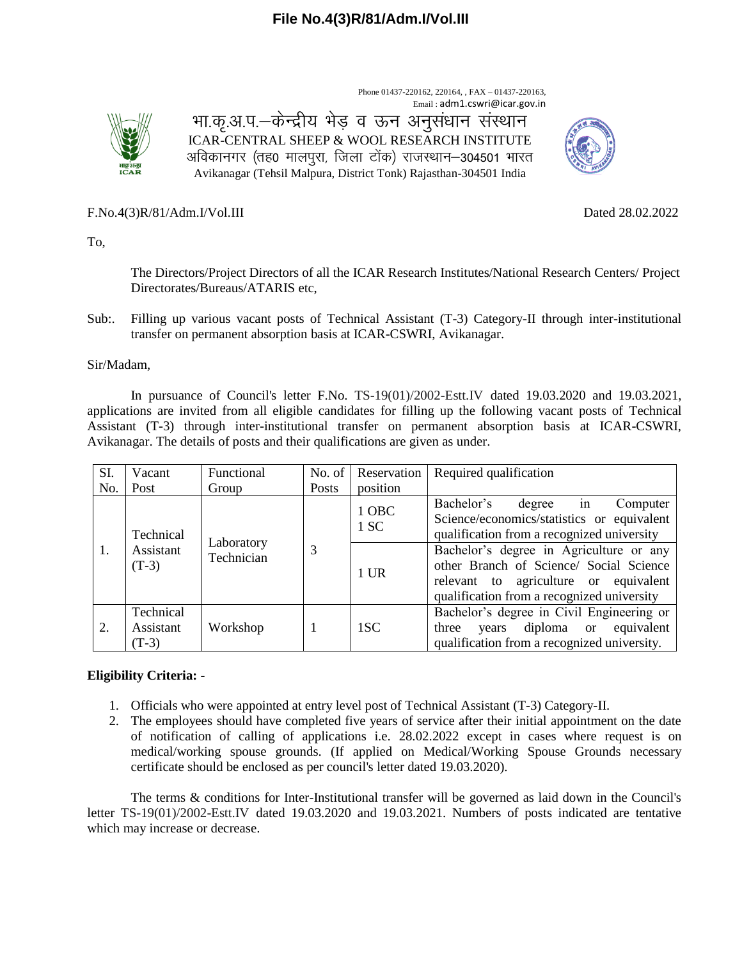Phone 01437-220162, 220164, , FAX – 01437-220163, Email : adm1.cswri@icar.gov.in



भा.कृ.अ.प.–केन्द्रीय भेड़ व ऊन अनुसंधान संस्थान ICAR-CENTRAL SHEEP & WOOL RESEARCH INSTITUTE अविकानगर (तह0 मालपुरा, जिला टोंक) राजस्थान–304501 भारत Avikanagar (Tehsil Malpura, District Tonk) Rajasthan-304501 India



F.No[.4\(3\)R/81/Adm.I/Vol.III](https://eoffice.icar.gov.in/eFile/?x=YVGu5fdyPopamAsvwFtqJWrV2xAUmKw0) Dated 28.02.2022

To,

The Directors/Project Directors of all the ICAR Research Institutes/National Research Centers/ Project Directorates/Bureaus/ATARIS etc,

Sub:. Filling up various vacant posts of Technical Assistant (T-3) Category-II through inter-institutional transfer on permanent absorption basis at ICAR-CSWRI, Avikanagar.

#### Sir/Madam,

In pursuance of Council's letter F.No. TS-19(01)/2002-Estt.IV dated 19.03.2020 and 19.03.2021, applications are invited from all eligible candidates for filling up the following vacant posts of Technical Assistant (T-3) through inter-institutional transfer on permanent absorption basis at ICAR-CSWRI, Avikanagar. The details of posts and their qualifications are given as under.

| SI. | Vacant                            | Functional               | No. of $\vert$ | Reservation   | Required qualification                                                                                                                                                    |
|-----|-----------------------------------|--------------------------|----------------|---------------|---------------------------------------------------------------------------------------------------------------------------------------------------------------------------|
| No. | Post                              | Group                    | Posts          | position      |                                                                                                                                                                           |
| 1.  | Technical<br>Assistant<br>$(T-3)$ | Laboratory<br>Technician | 3              | 1 OBC<br>1 SC | Bachelor's<br>in<br>degree<br>Computer<br>Science/economics/statistics or equivalent<br>qualification from a recognized university                                        |
|     |                                   |                          |                | $1$ UR        | Bachelor's degree in Agriculture or any<br>other Branch of Science/ Social Science<br>relevant to agriculture or equivalent<br>qualification from a recognized university |
| 2.  | Technical<br>Assistant<br>$(T-3)$ | Workshop                 |                | 1SC           | Bachelor's degree in Civil Engineering or<br>diploma or equivalent<br>three<br>years<br>qualification from a recognized university.                                       |

## **Eligibility Criteria: -**

- 1. Officials who were appointed at entry level post of Technical Assistant (T-3) Category-II.
- 2. The employees should have completed five years of service after their initial appointment on the date of notification of calling of applications i.e. 28.02.2022 except in cases where request is on medical/working spouse grounds. (If applied on Medical/Working Spouse Grounds necessary certificate should be enclosed as per council's letter dated 19.03.2020).

The terms & conditions for Inter-Institutional transfer will be governed as laid down in the Council's letter TS-19(01)/2002-Estt.IV dated 19.03.2020 and 19.03.2021. Numbers of posts indicated are tentative which may increase or decrease.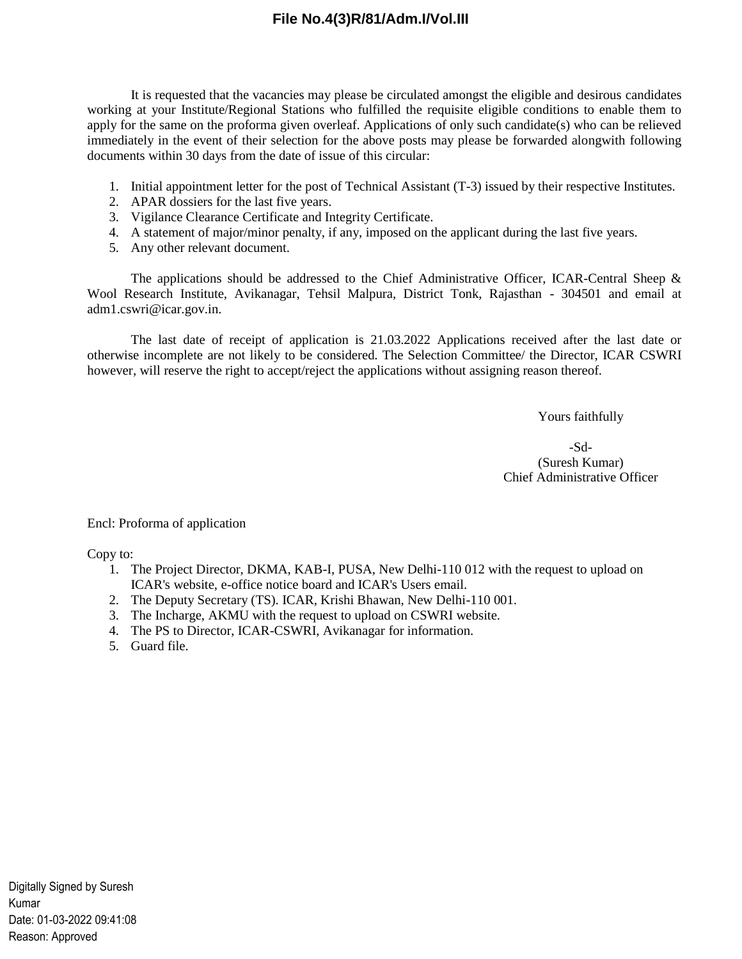# **File No.4(3)R/81/Adm.I/Vol.III**

It is requested that the vacancies may please be circulated amongst the eligible and desirous candidates working at your Institute/Regional Stations who fulfilled the requisite eligible conditions to enable them to apply for the same on the proforma given overleaf. Applications of only such candidate(s) who can be relieved immediately in the event of their selection for the above posts may please be forwarded alongwith following documents within 30 days from the date of issue of this circular:

- 1. Initial appointment letter for the post of Technical Assistant (T-3) issued by their respective Institutes.
- 2. APAR dossiers for the last five years.
- 3. Vigilance Clearance Certificate and Integrity Certificate.
- 4. A statement of major/minor penalty, if any, imposed on the applicant during the last five years.
- 5. Any other relevant document.

The applications should be addressed to the Chief Administrative Officer, ICAR-Central Sheep & Wool Research Institute, Avikanagar, Tehsil Malpura, District Tonk, Rajasthan - 304501 and email at adm1.cswri@icar.gov.in.

The last date of receipt of application is 21.03.2022 Applications received after the last date or otherwise incomplete are not likely to be considered. The Selection Committee/ the Director, ICAR CSWRI however, will reserve the right to accept/reject the applications without assigning reason thereof.

Yours faithfully

-Sd- (Suresh Kumar) Chief Administrative Officer

Encl: Proforma of application

Copy to:

- 1. The Project Director, DKMA, KAB-I, PUSA, New Delhi-110 012 with the request to upload on ICAR's website, e-office notice board and ICAR's Users email.
- 2. The Deputy Secretary (TS). ICAR, Krishi Bhawan, New Delhi-110 001.
- 3. The Incharge, AKMU with the request to upload on CSWRI website.
- 4. The PS to Director, ICAR-CSWRI, Avikanagar for information.
- 5. Guard file.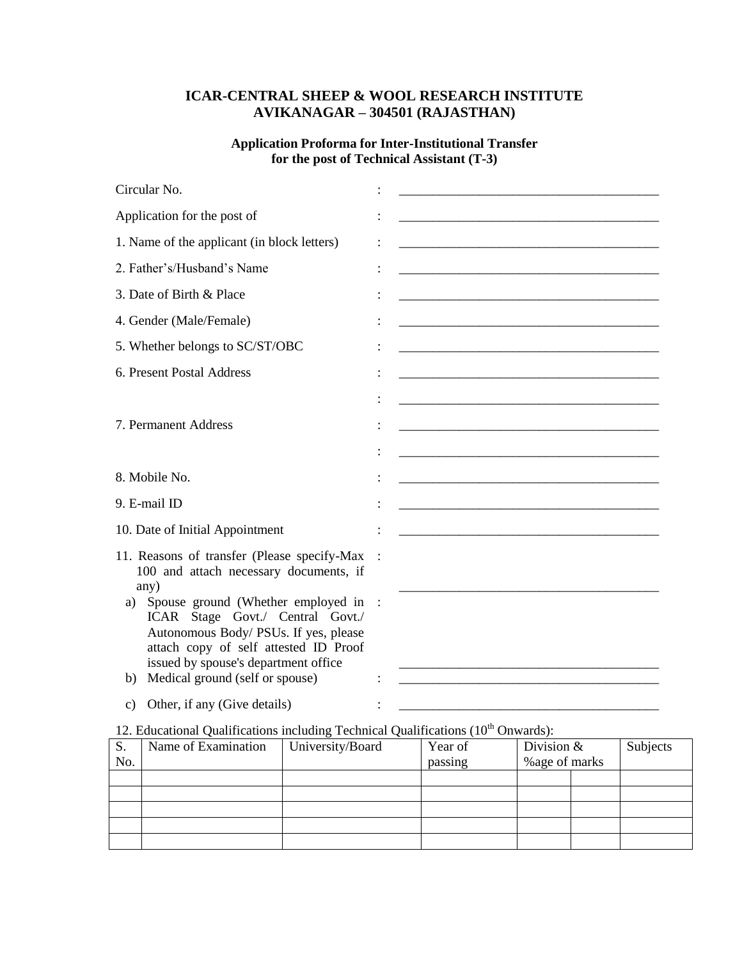# **ICAR-CENTRAL SHEEP & WOOL RESEARCH INSTITUTE AVIKANAGAR – 304501 (RAJASTHAN)**

## **Application Proforma for Inter-Institutional Transfer for the post of Technical Assistant (T-3)**

| Circular No.                                                                                                                                                                                                                                                                                                                                     |                                                                                                                       |
|--------------------------------------------------------------------------------------------------------------------------------------------------------------------------------------------------------------------------------------------------------------------------------------------------------------------------------------------------|-----------------------------------------------------------------------------------------------------------------------|
| Application for the post of                                                                                                                                                                                                                                                                                                                      |                                                                                                                       |
| 1. Name of the applicant (in block letters)                                                                                                                                                                                                                                                                                                      | <u> 1989 - Johann John Stone, mars eta biztanleria (h. 1989).</u>                                                     |
| 2. Father's/Husband's Name                                                                                                                                                                                                                                                                                                                       |                                                                                                                       |
| 3. Date of Birth & Place                                                                                                                                                                                                                                                                                                                         |                                                                                                                       |
| 4. Gender (Male/Female)                                                                                                                                                                                                                                                                                                                          |                                                                                                                       |
| 5. Whether belongs to SC/ST/OBC                                                                                                                                                                                                                                                                                                                  |                                                                                                                       |
| 6. Present Postal Address                                                                                                                                                                                                                                                                                                                        |                                                                                                                       |
| 7. Permanent Address                                                                                                                                                                                                                                                                                                                             | <u> 1989 - Johann John Stone, meil er fan de ferske fan de ferske fan de ferske fan de ferske fan de ferske fan d</u> |
| 8. Mobile No.                                                                                                                                                                                                                                                                                                                                    |                                                                                                                       |
| 9. E-mail ID                                                                                                                                                                                                                                                                                                                                     | <u> 1980 - Johann John Stone, mars eta biztanleria (h. 1980).</u>                                                     |
| 10. Date of Initial Appointment                                                                                                                                                                                                                                                                                                                  |                                                                                                                       |
| 11. Reasons of transfer (Please specify-Max<br>100 and attach necessary documents, if<br>any)<br>Spouse ground (Whether employed in<br>a)<br>ICAR Stage Govt./ Central Govt./<br>Autonomous Body/ PSUs. If yes, please<br>attach copy of self attested ID Proof<br>issued by spouse's department office<br>Medical ground (self or spouse)<br>b) |                                                                                                                       |
| Other, if any (Give details)<br>c)                                                                                                                                                                                                                                                                                                               |                                                                                                                       |

# 12. Educational Qualifications including Technical Qualifications  $(10<sup>th</sup>$  Onwards):

| S.  | Name of Examination | University/Board | Year of | Division $&$   |  | Subjects |  |
|-----|---------------------|------------------|---------|----------------|--|----------|--|
| No. |                     |                  | passing | % age of marks |  |          |  |
|     |                     |                  |         |                |  |          |  |
|     |                     |                  |         |                |  |          |  |
|     |                     |                  |         |                |  |          |  |
|     |                     |                  |         |                |  |          |  |
|     |                     |                  |         |                |  |          |  |